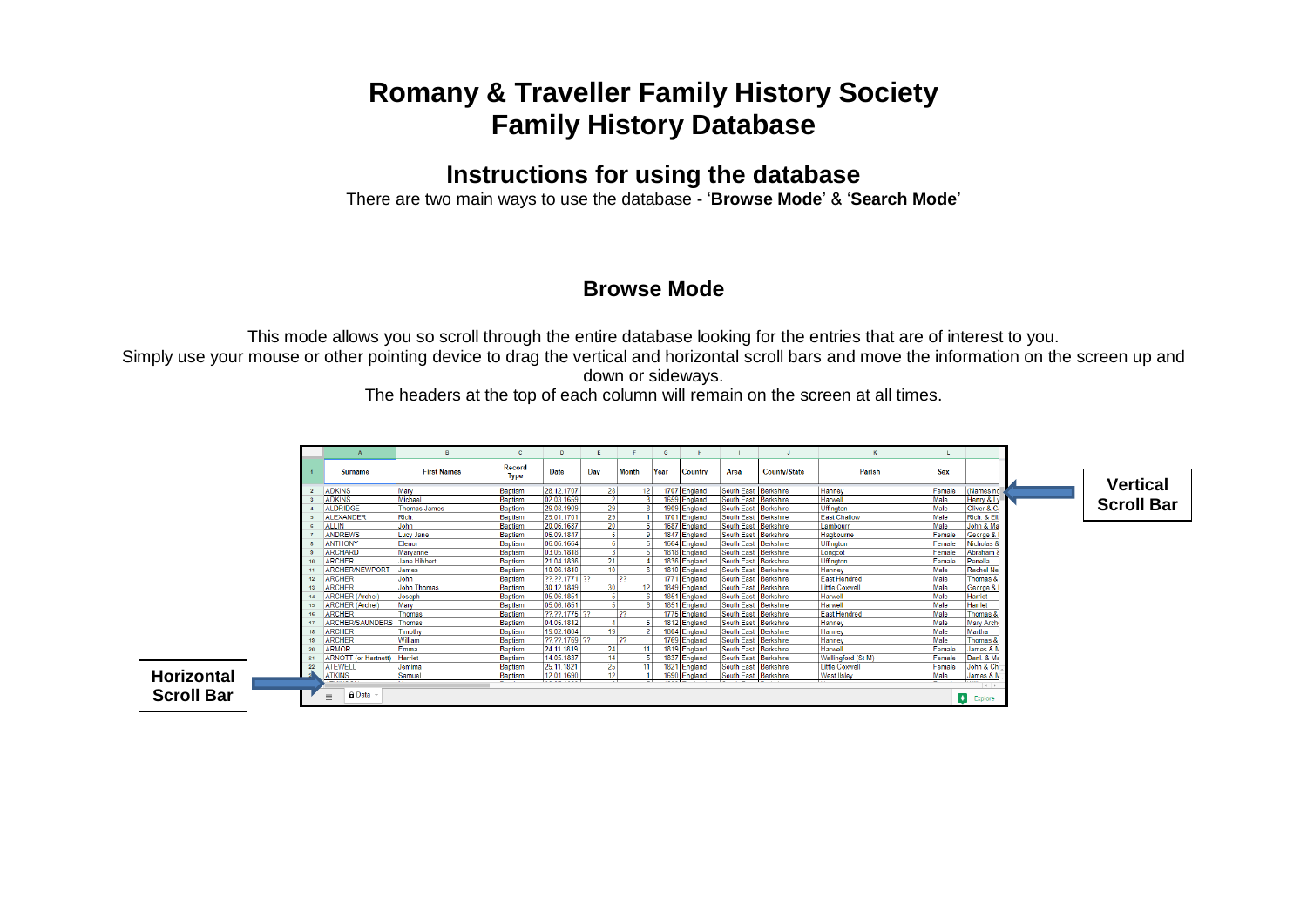# **Romany & Traveller Family History Society Family History Database**

## **Instructions for using the database**

There are two main ways to use the database - '**Browse Mode**' & '**Search Mode**'

#### **Browse Mode**

This mode allows you so scroll through the entire database looking for the entries that are of interest to you.

Simply use your mouse or other pointing device to drag the vertical and horizontal scroll bars and move the information on the screen up and down or sideways.

The headers at the top of each column will remain on the screen at all times.

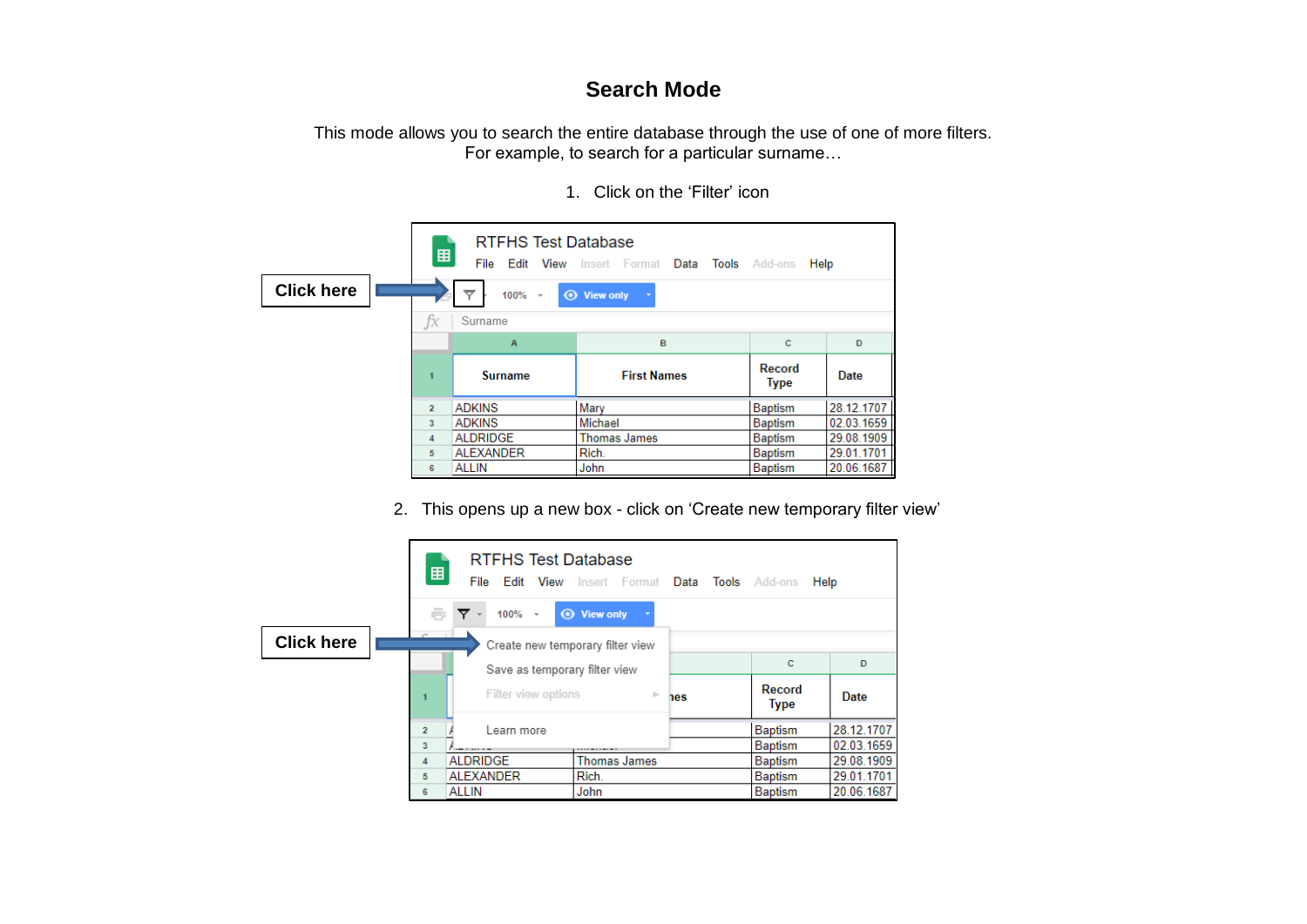### **Search Mode**

This mode allows you to search the entire database through the use of one of more filters. For example, to search for a particular surname…

1. Click on the 'Filter' icon

|                   | 囯              | <b>RTFHS Test Database</b><br>File                              | Edit View Insert Format Data Tools Add-ons | Help                  |            |  |  |  |  |  |  |  |  |
|-------------------|----------------|-----------------------------------------------------------------|--------------------------------------------|-----------------------|------------|--|--|--|--|--|--|--|--|
| <b>Click here</b> |                | ≂<br>$100\% -$                                                  | <b>⊙</b> View only                         |                       |            |  |  |  |  |  |  |  |  |
|                   | fx             | Surname                                                         |                                            |                       |            |  |  |  |  |  |  |  |  |
|                   |                | B<br>c<br>D<br>$\overline{A}$                                   |                                            |                       |            |  |  |  |  |  |  |  |  |
|                   | 1              | <b>Surname</b>                                                  | <b>First Names</b>                         | Record<br><b>Type</b> | Date       |  |  |  |  |  |  |  |  |
|                   | $\overline{2}$ | <b>ADKINS</b>                                                   | Mary                                       | <b>Baptism</b>        | 28.12.1707 |  |  |  |  |  |  |  |  |
|                   | 3              | <b>ADKINS</b>                                                   | Michael                                    | Baptism               | 02.03.1659 |  |  |  |  |  |  |  |  |
|                   | 4              | 29.08.1909<br><b>ALDRIDGE</b><br>Baptism<br><b>Thomas James</b> |                                            |                       |            |  |  |  |  |  |  |  |  |
|                   | 5              | <b>ALEXANDER</b>                                                | Rich.                                      | <b>Baptism</b>        | 29.01.1701 |  |  |  |  |  |  |  |  |
|                   | 6              | 20.06.1687<br><b>Baptism</b><br><b>ALLIN</b><br>John            |                                            |                       |            |  |  |  |  |  |  |  |  |

2. This opens up a new box - click on 'Create new temporary filter view'

|                   | 囲              | <b>RTFHS Test Database</b><br>File | <b>Edit View</b> Insert Format Data Tools Add-ons |     | Help           |            |
|-------------------|----------------|------------------------------------|---------------------------------------------------|-----|----------------|------------|
|                   | e.             | $100\% -$<br>▼                     | <b>⊙</b> View only                                |     |                |            |
| <b>Click here</b> |                | Create new temporary filter view   |                                                   |     |                |            |
|                   |                | Save as temporary filter view      |                                                   |     | c              | D          |
|                   | 1              | Filter view options                | þ.                                                | nes | Record<br>Type | Date       |
|                   | $\overline{2}$ | Learn more                         |                                                   |     | <b>Baptism</b> | 28.12.1707 |
|                   | 3              | <b><i><u>Property</u></i></b>      | .                                                 |     | <b>Baptism</b> | 02.03.1659 |
|                   | 4              | <b>ALDRIDGE</b>                    | <b>Thomas James</b>                               |     | Baptism        | 29.08.1909 |
|                   | 5              | <b>ALEXANDER</b>                   | Rich.                                             |     | <b>Baptism</b> | 29.01.1701 |
|                   | 6              | <b>ALLIN</b>                       | John                                              |     | <b>Baptism</b> | 20.06.1687 |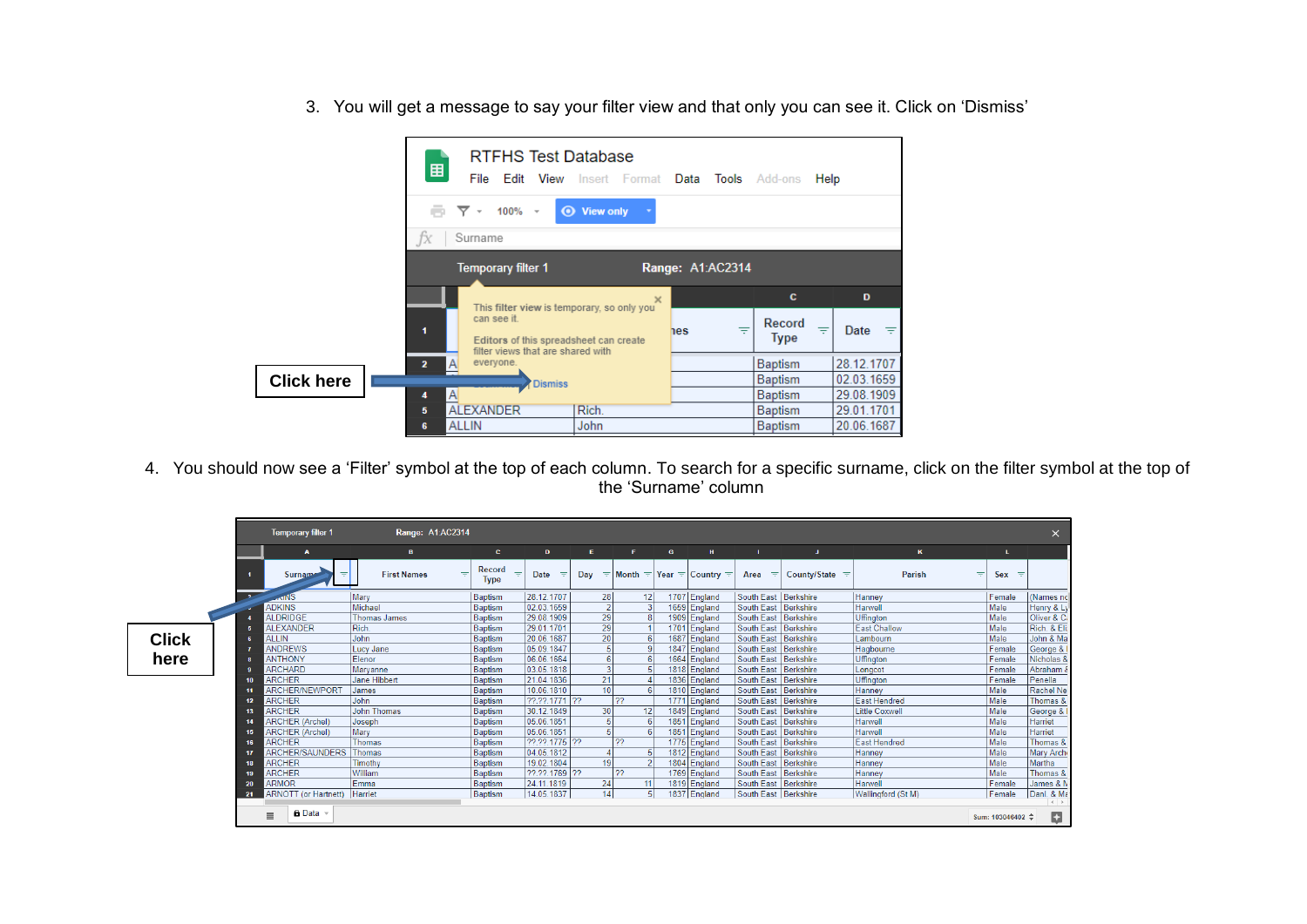3. You will get a message to say your filter view and that only you can see it. Click on 'Dismiss'



4. You should now see a 'Filter' symbol at the top of each column. To search for a specific surname, click on the filter symbol at the top of the 'Surname' column

|              |     | <b>Temporary filter 1</b>        | Range: A1:AC2314        |                       |               |                 |    |          |                                              |                        |                       |                       |                   | $\times$          |
|--------------|-----|----------------------------------|-------------------------|-----------------------|---------------|-----------------|----|----------|----------------------------------------------|------------------------|-----------------------|-----------------------|-------------------|-------------------|
|              |     | $\mathbf{A}$                     | в.                      | C.                    | D             | Е.              | F. | <b>G</b> | H                                            |                        | J.                    | $\kappa$              |                   |                   |
|              |     | <b>Surname</b><br>₹              | <b>First Names</b><br>₹ | Record<br><b>Type</b> | <b>Date</b>   | Day             |    |          | $\pm$ Month $\pm$ Year $\pm$ Country $\pm$ 1 | Area $\equiv$          | County/State $\equiv$ | Parish                | Sex $\equiv$<br>₹ |                   |
|              |     |                                  | Mary                    | Baptism               | 28.12.1707    | 28              | 12 |          | 1707 England                                 | South East   Berkshire |                       | Hanney                | Female            | (Names no         |
|              |     | <b>ADKINS</b>                    | Michael                 | Baptism               | 02.03.1659    |                 |    |          | 1659 England                                 | South East Berkshire   |                       | Harwell               | Male              | Henry & Ly        |
|              |     | <b>ALDRIDGE</b>                  | <b>Thomas James</b>     | Baptism               | 29.08.1909    | 29              |    |          | 1909 England                                 | South East Berkshire   |                       | <b>Uffinaton</b>      | Male              | Oliver & Ci       |
|              |     | <b>ALEXANDER</b>                 | Rich.                   | <b>Baptism</b>        | 29.01.1701    | 29              |    |          | 1701 England                                 | South East Berkshire   |                       | <b>East Challow</b>   | Male              | Rich. & Eli:      |
| <b>Click</b> |     | <b>ALLIN</b>                     | John                    | Baptism               | 20.06.1687    | 20              |    |          | 1687 England                                 | South East Berkshire   |                       | Lambourn              | <b>Male</b>       | John & Ma         |
|              |     | <b>ANDREWS</b>                   | Lucy Jane               | Baptism               | 05.09.1847    |                 |    |          | 1847 England                                 | South East Berkshire   |                       | Hagbourne             | Female            | George & I        |
| here         |     | <b>ANTHONY</b>                   | Elenor                  | Baptism               | 06.06.1664    |                 |    |          | 1664 England                                 | South East Berkshire   |                       | <b>Uffinaton</b>      | Female            | Nicholas &        |
|              |     | <b>ARCHARD</b>                   | Marvanne                | <b>Baptism</b>        | 03.05.1818    |                 |    |          | 1818 England                                 | South East Berkshire   |                       | Longcot               | Female            | Abraham δ         |
|              |     | <b>ARCHER</b>                    | Jane Hibbert            | Baptism               | 21.04.1836    | 21              |    |          | 1836 England                                 | South East Berkshire   |                       | Uffington             | Female            | Penella           |
|              |     | <b>ARCHER/NEWPORT</b>            | James                   | Baptism               | 10.06.1810    | 10 <sup>1</sup> |    |          | 1810 England                                 | South East Berkshire   |                       | Hanney                | Male              | Rachel Ne         |
|              | 12  | <b>ARCHER</b>                    | John                    | Baptism               | 22.22.1771 22 |                 | 22 |          | 1771 England                                 | South East Berkshire   |                       | <b>East Hendred</b>   | Male              | Thomas &          |
|              |     | <b>ARCHER</b>                    | <b>John Thomas</b>      | Baptism               | 30.12.1849    | 30              | 12 |          | 1849 England                                 | South East Berkshire   |                       | <b>Little Coxwell</b> | Male              | George &          |
|              |     | <b>ARCHER (Archel)</b>           | Joseph                  | Baptism               | 05.06.1851    |                 |    |          | 1851 England                                 | South East Berkshire   |                       | Harwell               | Male              | Harriet           |
|              |     | <b>ARCHER (Archel)</b>           | Mary                    | Baptism               | 05.06.1851    |                 |    |          | 1851 England                                 | South East Berkshire   |                       | Harwell               | Male              | Harriet           |
|              | 16  | <b>ARCHER</b>                    | Thomas                  | Baptism               | 22.22.1775 22 |                 | 22 |          | 1775 England                                 | South East Berkshire   |                       | East Hendred          | Male              | Thomas &          |
|              |     | ARCHER/SAUNDERS Thomas           |                         | Baptism               | 04.05.1812    |                 |    |          | 1812 England                                 | South East Berkshire   |                       | Hanney                | Male              | Mary Arch         |
|              |     | <b>ARCHER</b>                    | Timothy                 | <b>Baptism</b>        | 19.02.1804    | 19              |    |          | 1804 England                                 | South East Berkshire   |                       | Hanney                | Male              | Martha            |
|              |     | <b>ARCHER</b>                    | William                 | Baptism               | 22.22.1769 22 |                 | 22 |          | 1769 England                                 | South East   Berkshire |                       | Hanney                | Male              | Thomas &          |
|              | 20  | <b>ARMOR</b>                     | Emma                    | Baptism               | 24.11.1819    | 24              | 11 |          | 1819 England                                 | South East Berkshire   |                       | Harwell               | Female            | James & N         |
|              | -21 | <b>ARNOTT</b> (or Hartnett)      | Harriet                 | Baptism               | 14.05.1837    | 14              | 51 |          | 1837 England                                 | South East Berkshire   |                       | Wallingford (St M)    | Female            | Danl. & Ma        |
|              |     | $\theta$ Data $\sim$<br>$\equiv$ |                         |                       |               |                 |    |          |                                              |                        |                       |                       | Sum: 103046402 ≑  | $\leftarrow$<br>p |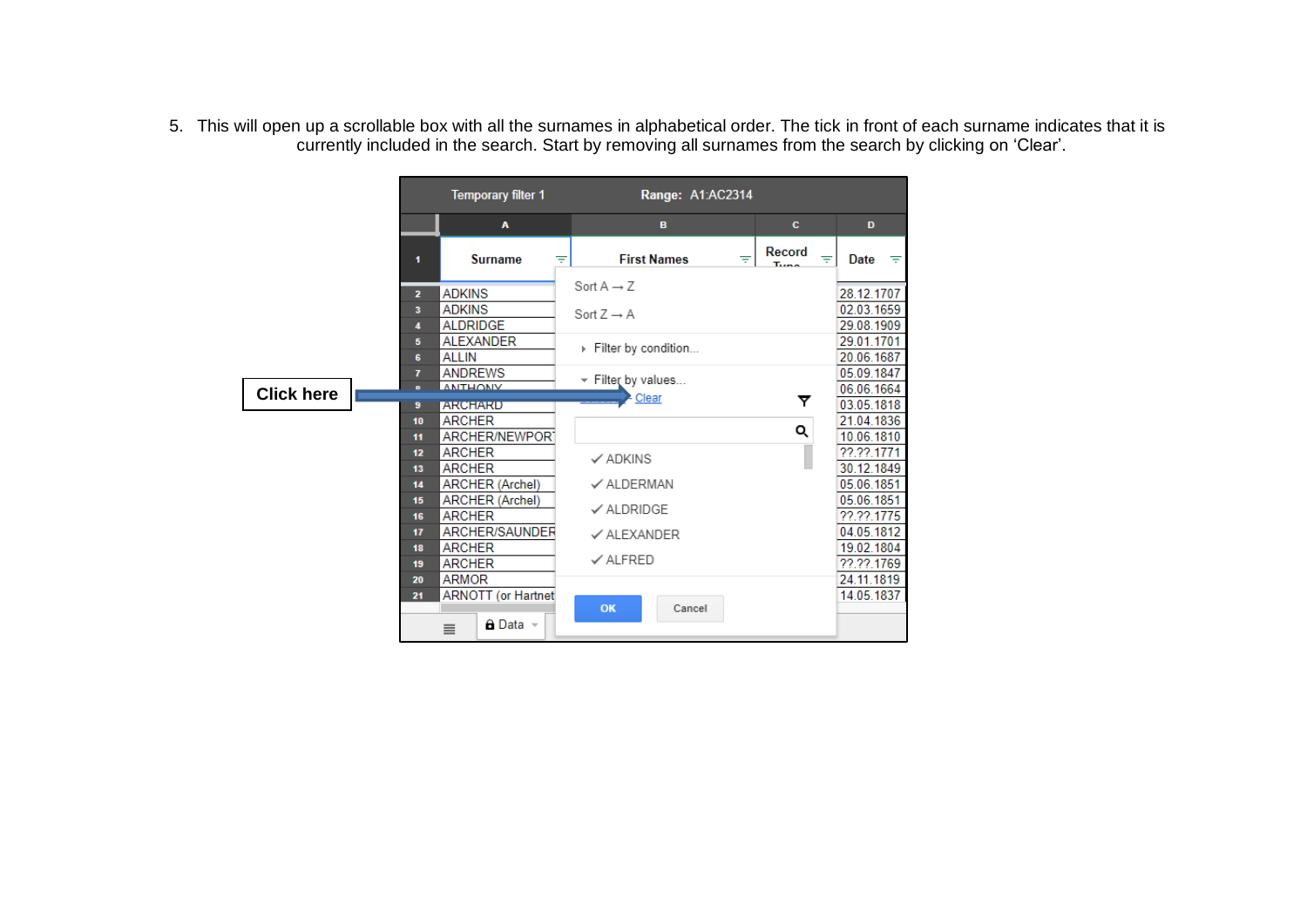5. This will open up a scrollable box with all the surnames in alphabetical order. The tick in front of each surname indicates that it is currently included in the search. Start by removing all surnames from the search by clicking on 'Clear'.

|                   |                                  | <b>Temporary filter 1</b>                                                |                                                  | Range: A1:AC2314 |                                   |                                        |
|-------------------|----------------------------------|--------------------------------------------------------------------------|--------------------------------------------------|------------------|-----------------------------------|----------------------------------------|
|                   |                                  | A                                                                        | в                                                |                  | c                                 | D                                      |
|                   | 1                                | <b>Surname</b>                                                           | <b>First Names</b><br>Ψ                          | ₹                | Record<br>$\equiv$<br><b>Tunn</b> | Date<br>ਾਵਾਂ                           |
|                   | $\overline{2}$<br>3              | <b>ADKINS</b><br><b>ADKINS</b>                                           | Sort $A \rightarrow Z$<br>Sort $Z \rightarrow A$ |                  |                                   | 28.12.1707<br>02.03.1659               |
|                   | 4<br>5<br>6                      | <b>ALDRIDGE</b><br><b>ALEXANDER</b><br><b>ALLIN</b>                      | Filter by condition                              |                  |                                   | 29.08.1909<br>29.01.1701<br>20.06.1687 |
| <b>Click here</b> | $\overline{ }$<br>$\bullet$<br>9 | <b>ANDREWS</b><br><b>ANITHONIV</b><br><b>ARCHARD</b>                     | Filter by values<br>Clear                        |                  | ▼                                 | 05.09.1847<br>06.06.1664<br>03.05.1818 |
|                   | 10<br>11                         | <b>ARCHER</b><br><b>ARCHER/NEWPORT</b>                                   |                                                  |                  | Q                                 | 21.04.1836<br>10.06.1810               |
|                   | 12<br>13<br>14                   | <b>ARCHER</b><br><b>ARCHER</b><br><b>ARCHER (Archel)</b>                 | $\checkmark$ ADKINS<br>✓ ALDERMAN                |                  |                                   | 22.22.1771<br>30.12.1849<br>05.06.1851 |
|                   | 15<br>16                         | <b>ARCHER (Archel)</b><br><b>ARCHER</b>                                  | $\checkmark$ ALDRIDGE                            |                  |                                   | 05.06.1851<br>22.22.1775               |
|                   | 17<br>18<br>19                   | ARCHER/SAUNDER<br><b>ARCHER</b><br><b>ARCHER</b>                         | $\checkmark$ ALEXANDER<br>$\checkmark$ ALFRED    |                  |                                   | 04.05.1812<br>19.02.1804<br>22.22.1769 |
|                   | 20<br>21                         | <b>ARMOR</b><br><b>ARNOTT</b> (or Hartnet<br><b>A</b> Data ∼<br>$\equiv$ | OK                                               | Cancel           |                                   | 24.11.1819<br>14.05.1837               |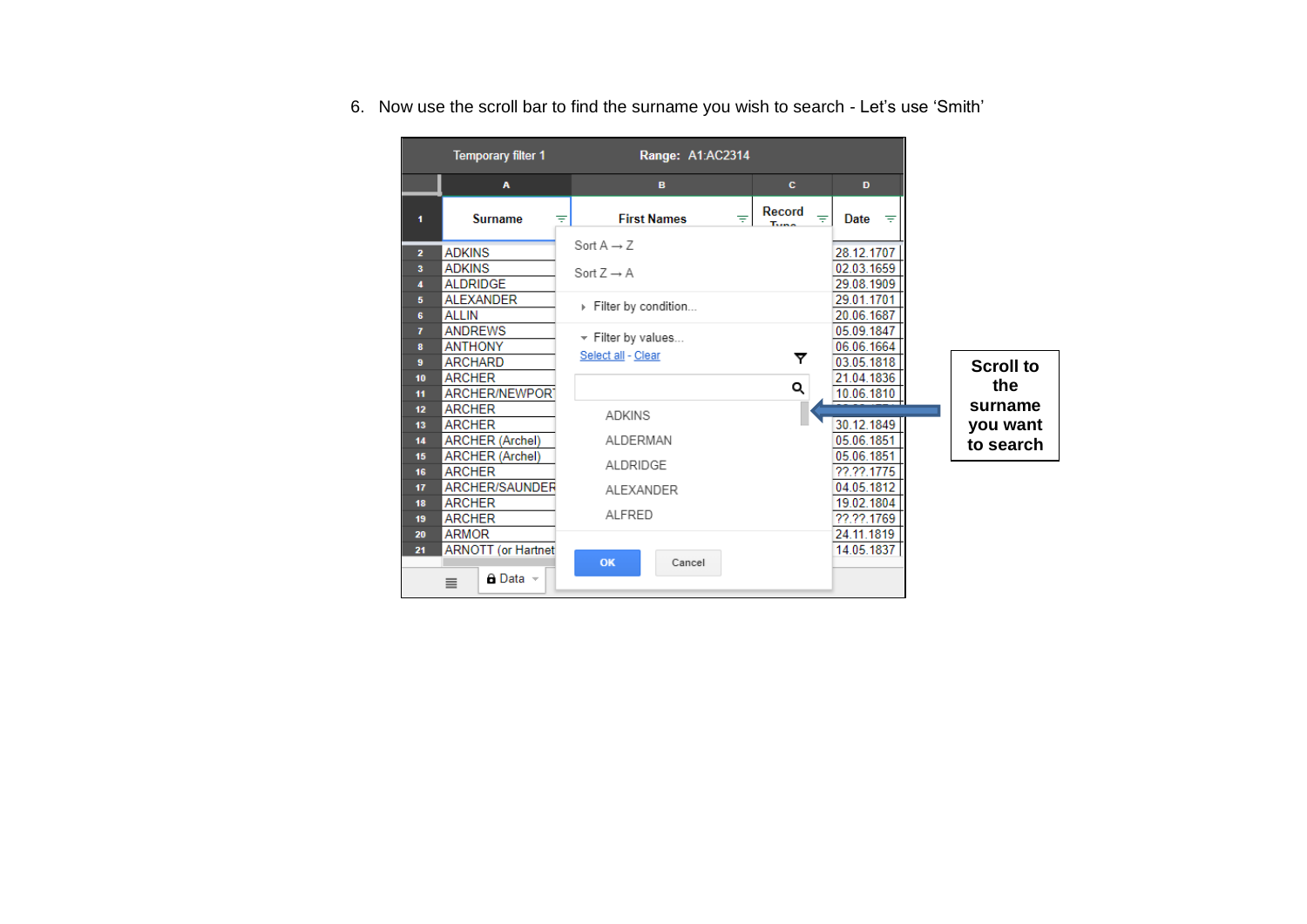6. Now use the scroll bar to find the surname you wish to search - Let's use 'Smith'

|                                                                                                                               | <b>Temporary filter 1</b>                                                                                                                                                                                                                                                                                                | Range: A1:AC2314                                                                                                                                                                     |                                           |                                                                                                                                                                                                                              |                                                             |
|-------------------------------------------------------------------------------------------------------------------------------|--------------------------------------------------------------------------------------------------------------------------------------------------------------------------------------------------------------------------------------------------------------------------------------------------------------------------|--------------------------------------------------------------------------------------------------------------------------------------------------------------------------------------|-------------------------------------------|------------------------------------------------------------------------------------------------------------------------------------------------------------------------------------------------------------------------------|-------------------------------------------------------------|
|                                                                                                                               | $\mathbf{A}$                                                                                                                                                                                                                                                                                                             | B.                                                                                                                                                                                   | c                                         | D                                                                                                                                                                                                                            |                                                             |
| 1.                                                                                                                            | <b>Surname</b><br>Ψ                                                                                                                                                                                                                                                                                                      | <b>First Names</b><br>₹                                                                                                                                                              | Record<br>$\equiv$<br>Turned <sup>1</sup> | Date<br>$\equiv$                                                                                                                                                                                                             |                                                             |
| $\overline{2}$<br>$\overline{\mathbf{a}}$<br>4<br>5<br>6<br>7<br>8<br>9<br>10<br>11<br>12<br>13<br>14<br>15<br>16<br>17<br>18 | <b>ADKINS</b><br><b>ADKINS</b><br><b>ALDRIDGE</b><br><b>ALEXANDER</b><br><b>ALLIN</b><br><b>ANDREWS</b><br><b>ANTHONY</b><br><b>ARCHARD</b><br><b>ARCHER</b><br>ARCHER/NEWPORT<br><b>ARCHER</b><br><b>ARCHER</b><br><b>ARCHER (Archel)</b><br><b>ARCHER (Archel)</b><br><b>ARCHER</b><br>ARCHER/SAUNDER<br><b>ARCHER</b> | Sort $A \rightarrow Z$<br>Sort $Z \rightarrow A$<br>Filter by condition<br>$\mathbf{v}$ Filter by values<br>Select all - Clear<br><b>ADKINS</b><br>ALDERMAN<br>ALDRIDGE<br>ALEXANDER | ▼<br>Q                                    | 28.12.1707<br>02.03.1659<br>29.08.1909<br>29.01.1701<br>20.06.1687<br>05.09.1847<br>06.06.1664<br>03.05.1818<br>21.04.1836<br>10.06.1810<br>30.12.1849<br>05.06.1851<br>05.06.1851<br>??.??.1775<br>04.05.1812<br>19.02.1804 | <b>Scroll to</b><br>the<br>surname<br>you want<br>to search |
| 19<br>20<br>21                                                                                                                | <b>ARCHER</b><br><b>ARMOR</b><br><b>ARNOTT</b> (or Hartnet<br>$\theta$ Data $\sim$<br>$\equiv$                                                                                                                                                                                                                           | ALFRED<br>OK<br>Cancel                                                                                                                                                               |                                           | ??.??.1769<br>24.11.1819<br>14.05.1837                                                                                                                                                                                       |                                                             |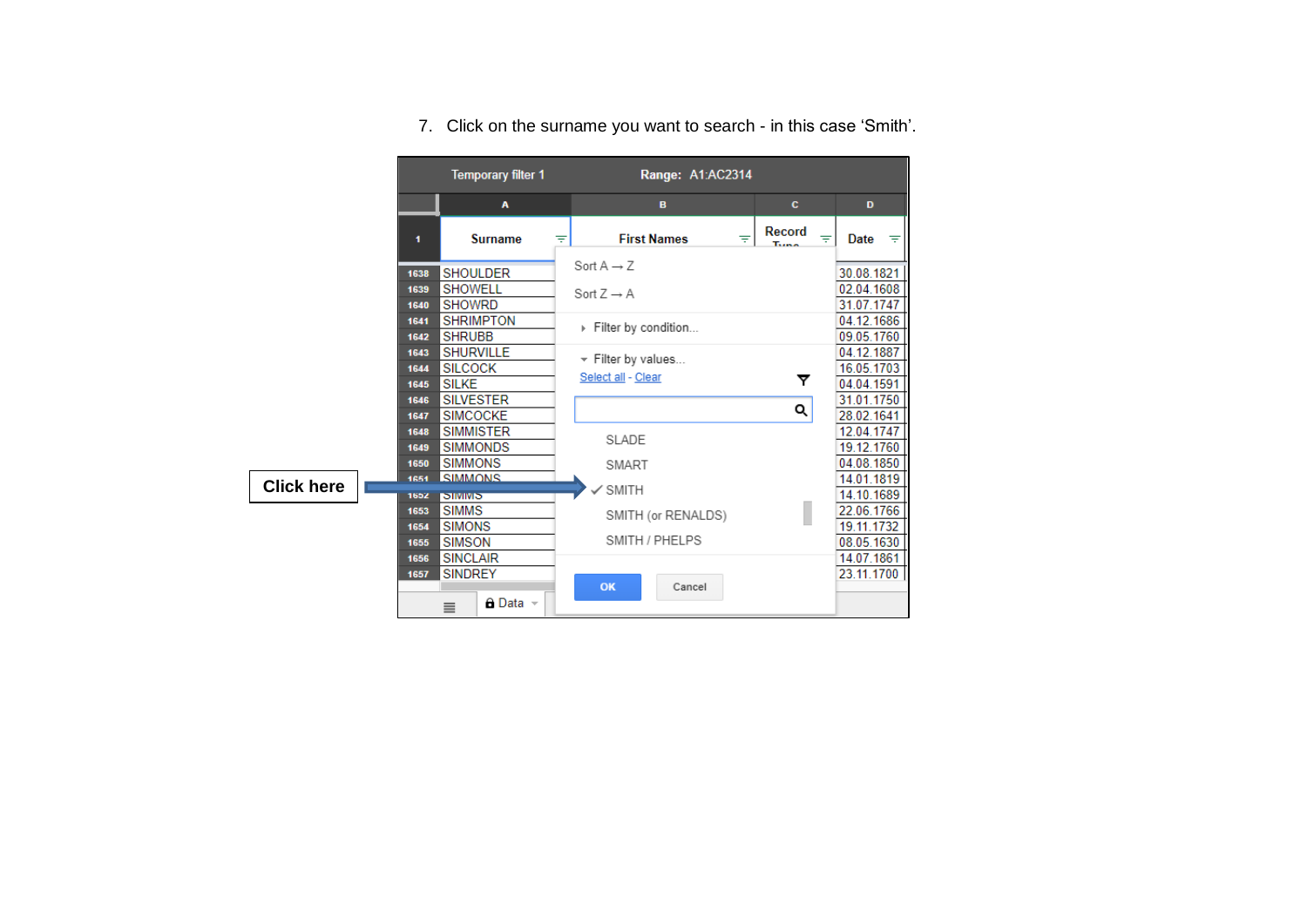|                   |              | <b>Temporary filter 1</b>         | Range: A1:AC2314                    |                                   |                          |
|-------------------|--------------|-----------------------------------|-------------------------------------|-----------------------------------|--------------------------|
|                   |              | A                                 | B                                   | c                                 | D                        |
|                   | 1            | <b>Surname</b>                    | <b>First Names</b><br>$\equiv$<br>₹ | Record<br>$\equiv$<br><b>Tunn</b> | Date<br>$\equiv$         |
|                   | 1638         | <b>SHOULDER</b>                   | Sort $A \rightarrow Z$              |                                   | 30.08.1821               |
|                   | 1639         | <b>SHOWELL</b>                    | Sort $Z \rightarrow A$              |                                   | 02.04.1608               |
|                   | 1640         | <b>SHOWRD</b>                     |                                     |                                   | 31.07.1747               |
|                   | 1641         | <b>SHRIMPTON</b>                  | Filter by condition                 |                                   | 04.12.1686               |
|                   | 1642         | <b>SHRUBB</b>                     |                                     |                                   | 09.05.1760               |
|                   | 1643         | <b>SHURVILLE</b>                  | $\star$ Filter by values            |                                   | 04.12.1887               |
|                   | 1644         | <b>SILCOCK</b>                    | Select all - Clear                  | ▼                                 | 16.05.1703               |
|                   | 1645         | <b>SILKE</b>                      |                                     |                                   | 04.04.1591               |
|                   | 1646         | <b>SILVESTER</b>                  |                                     | Q                                 | 31.01.1750               |
|                   | 1647         | <b>SIMCOCKE</b>                   |                                     |                                   | 28.02.1641               |
|                   | 1648         | <b>SIMMISTER</b>                  | SLADE                               |                                   | 12.04.1747               |
|                   | 1649<br>1650 | <b>SIMMONDS</b><br><b>SIMMONS</b> |                                     |                                   | 19.12.1760<br>04.08.1850 |
|                   | 1651         | <b>SIMMONS</b>                    | SMART                               |                                   | 14.01.1819               |
| <b>Click here</b> | 1652         | <b>SIMINIS</b>                    | <b>SMITH</b>                        |                                   | 14.10.1689               |
|                   | 1653         | <b>SIMMS</b>                      |                                     |                                   | 22.06.1766               |
|                   | 1654         | <b>SIMONS</b>                     | SMITH (or RENALDS)                  |                                   | 19.11.1732               |
|                   | 1655         | <b>SIMSON</b>                     | SMITH / PHELPS                      |                                   | 08.05.1630               |
|                   | 1656         | <b>SINCLAIR</b>                   |                                     |                                   | 14.07.1861               |
|                   | 1657         | <b>SINDREY</b>                    |                                     |                                   | 23.11.1700               |
|                   |              | $\theta$ Data $\sim$<br>$\equiv$  | OK<br>Cancel                        |                                   |                          |

7. Click on the surname you want to search - in this case 'Smith'.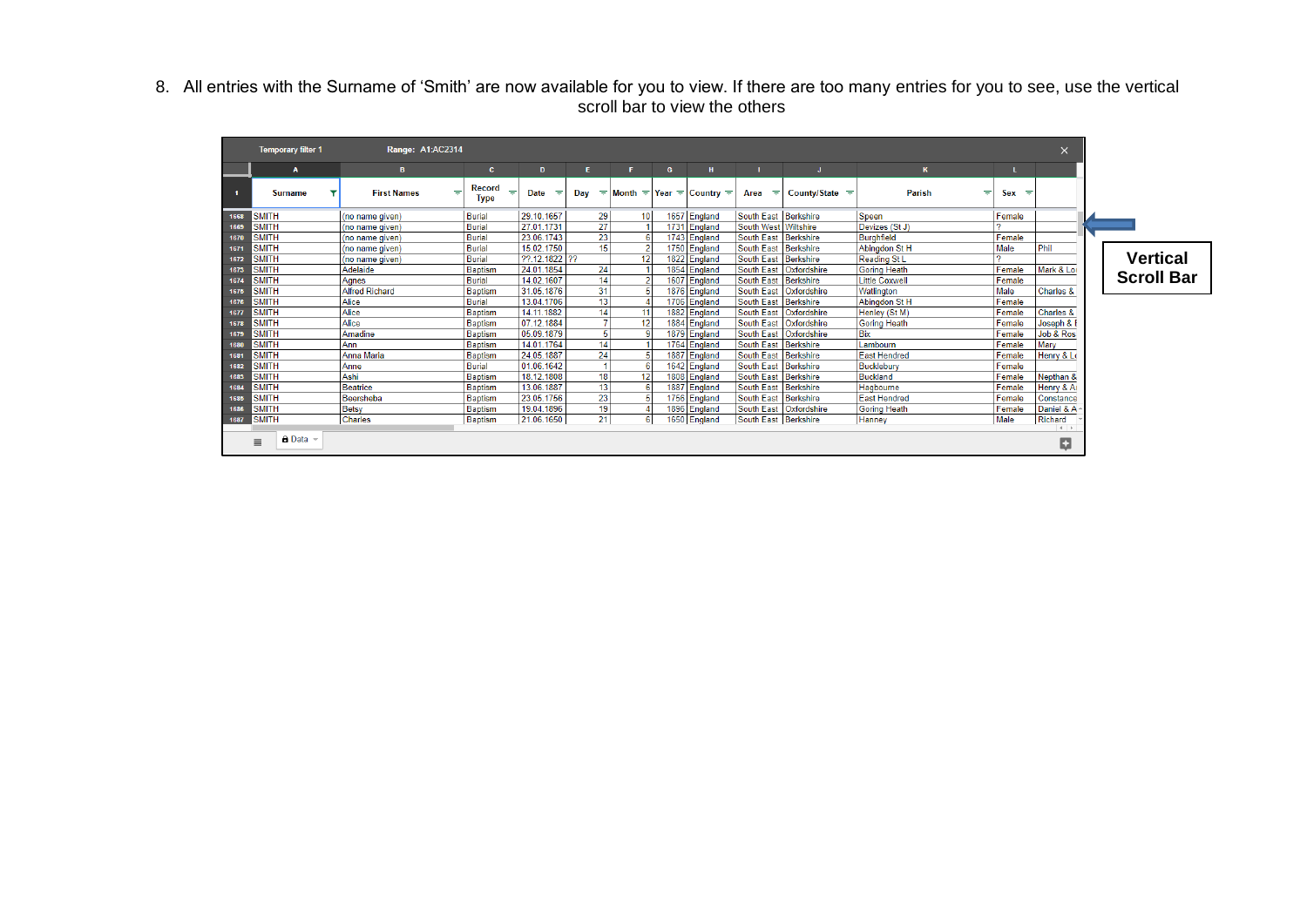#### 8. All entries with the Surname of 'Smith' are now available for you to view. If there are too many entries for you to see, use the vertical scroll bar to view the others

|      | <b>Temporary filter 1</b>   | Range: A1:AC2314      |                                   |                  |          |                 |   |                                      |                        |                          |                       |         | $\times$             |                 |
|------|-----------------------------|-----------------------|-----------------------------------|------------------|----------|-----------------|---|--------------------------------------|------------------------|--------------------------|-----------------------|---------|----------------------|-----------------|
|      | $\mathbf{A}$                | в                     | $\mathbf{c}$                      | D                | E.       | F.              | G | H                                    |                        |                          | K.                    |         |                      |                 |
| - 1  | <b>Surname</b>              | <b>First Names</b>    | Record<br>₹<br>$=$<br><b>Type</b> | <b>Date</b><br>₹ | Day<br>三 |                 |   | Month $\pm$ Year $\pm$ Country $\pm$ | Area<br>- Fil          | County/State $\equiv$    | <b>Parish</b><br>₹    | $Sex =$ |                      |                 |
| 1668 | <b>SMITH</b>                | (no name given)       | Burial                            | 29.10.1657       | 29       | 10 <sup>1</sup> |   | 1657 England                         | South East Berkshire   |                          | Speen                 | Female  |                      |                 |
| 1669 | <b>SMITH</b>                | (no name given)       | Burial                            | 27.01.1731       | 27       |                 |   | 1731 England                         | South West   Wiltshire |                          | Devizes (St J)        |         |                      |                 |
| 1670 | <b>SMITH</b>                | (no name given)       | <b>Burial</b>                     | 23.06.1743       | 23       |                 |   | 1743 England                         | South East Berkshire   |                          | <b>Burghfield</b>     | Female  |                      |                 |
| 1671 | <b>SMITH</b>                | (no name given)       | Burial                            | 15.02.1750       | 15       |                 |   | 1750 England                         | South East   Berkshire |                          | Abinadon St H         | Male    | Phil                 |                 |
| 1672 | <b>SMITH</b>                | (no name given)       | Burial                            | ??.12.1822 ??    |          | 12              |   | 1822 England                         | South East Berkshire   |                          | Reading St L          |         |                      | Vertica         |
| 1673 | <b>SMITH</b>                | Adelaide              | Baptism                           | 24.01.1854       | 24       |                 |   | 1854 England                         | <b>South East</b>      | Oxfordshire              | <b>Goring Heath</b>   | Female  | Mark & Loi           |                 |
| 1674 | <b>SMITH</b>                | Agnes                 | Burial                            | 14.02.1607       | 14       |                 |   | 1607 England                         | South East   Berkshire |                          | <b>Little Coxwell</b> | Female  |                      | <b>Scroll B</b> |
| 1675 | <b>SMITH</b>                | <b>Alfred Richard</b> | <b>Baptism</b>                    | 31.05.1876       | 31       |                 |   | 1876 England                         |                        | South East   Oxfordshire | Watlington            | Male    | Charles &            |                 |
| 1676 | <b>SMITH</b>                | Alice                 | Burial                            | 13.04.1706       | 13       |                 |   | 1706 England                         | South East Berkshire   |                          | Abinadon St H         | Female  |                      |                 |
| 1677 | <b>SMITH</b>                | Alice                 | <b>Baptism</b>                    | 14.11.1882       | 14       | 11              |   | 1882 England                         |                        | South East   Oxfordshire | Henley (St M)         | Female  | <b>Charles &amp;</b> |                 |
| 1678 | <b>SMITH</b>                | Alice                 | Baptism                           | 07.12.1884       |          | 12              |   | 1884 England                         |                        | South East   Oxfordshire | <b>Goring Heath</b>   | Female  | Joseph &             |                 |
| 1679 | <b>SMITH</b>                | Amadine               | Baptism                           | 05.09.1879       |          |                 |   | 1879 England                         |                        | South East   Oxfordshire | Bix                   | Female  | Job & Ros            |                 |
| 1680 | <b>SMITH</b>                | <b>Ann</b>            | Baptism                           | 14.01.1764       | 14       |                 |   | 1764 England                         | South East Berkshire   |                          | Lambourn              | Female  | Mary                 |                 |
| 1681 | <b>SMITH</b>                | Anna Maria            | Baptism                           | 24.05.1887       | 24       |                 |   | 1887 England                         | South East Berkshire   |                          | <b>East Hendred</b>   | Female  | Henry & Lo           |                 |
| 1682 | <b>SMITH</b>                | Anne                  | Burial                            | 01.06.1642       |          |                 |   | 1642 England                         | South East Berkshire   |                          | Bucklebury            | Female  |                      |                 |
| 1683 | <b>SMITH</b>                | Ashi                  | Baptism                           | 18.12.1808       | 18       | 12              |   | 1808 England                         | South East Berkshire   |                          | <b>Buckland</b>       | Female  | Nepthan &            |                 |
| 1684 | <b>SMITH</b>                | Beatrice              | Baptism                           | 13.06.1887       | 13       |                 |   | 1887 England                         | South East Berkshire   |                          | Hagbourne             | Female  | Henry & A            |                 |
| 1685 | <b>SMITH</b>                | Beersheba             | <b>Baptism</b>                    | 23.05.1756       | 23       |                 |   | 1756 England                         | South East Berkshire   |                          | <b>East Hendred</b>   | Female  | Constance            |                 |
| 1686 | <b>SMITH</b>                | Betsy                 | Baptism                           | 19.04.1896       | 19       |                 |   | 1896 England                         |                        | South East   Oxfordshire | <b>Goring Heath</b>   | Female  | Daniel & A           |                 |
| 1687 | <b>SMITH</b>                | Charles               | <b>Baptism</b>                    | 21.06.1650       | 21       |                 |   | 1650 England                         | South East   Berkshire |                          | Hanney                | Male    | Richard              |                 |
|      |                             |                       |                                   |                  |          |                 |   |                                      |                        |                          |                       |         | $-4$ $+$             |                 |
|      | <b>A</b> Data –<br>$\equiv$ |                       |                                   |                  |          |                 |   |                                      |                        |                          |                       |         | Ų                    |                 |

**Vertical Bar**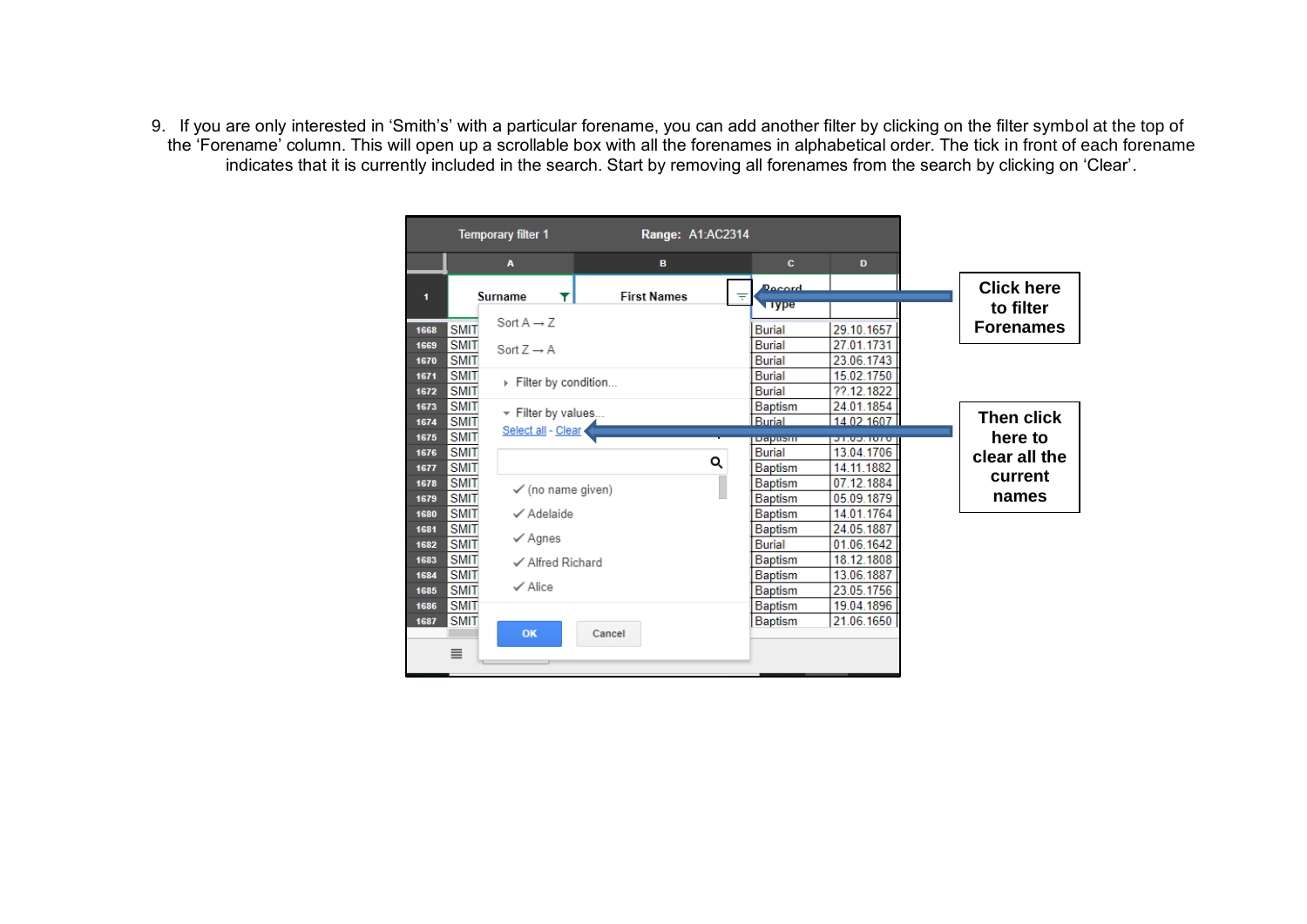9. If you are only interested in 'Smith's' with a particular forename, you can add another filter by clicking on the filter symbol at the top of the 'Forename' column. This will open up a scrollable box with all the forenames in alphabetical order. The tick in front of each forename indicates that it is currently included in the search. Start by removing all forenames from the search by clicking on 'Clear'.

|                                                                   | <b>Temporary filter 1</b>                | Range: A1:AC2314   |   |                                                    |                                        |                                |
|-------------------------------------------------------------------|------------------------------------------|--------------------|---|----------------------------------------------------|----------------------------------------|--------------------------------|
|                                                                   | A                                        | B                  |   | c                                                  | D                                      |                                |
| 1                                                                 | <b>Surname</b><br>T                      | <b>First Names</b> | ₹ | Docord<br><b>Type</b>                              |                                        | <b>Click here</b><br>to filter |
| <b>SMIT</b><br>1668                                               | Sort $A \rightarrow Z$                   |                    |   | <b>Burial</b>                                      | 29.10.1657                             | <b>Forenames</b>               |
| <b>SMIT</b><br>1669<br><b>SMIT</b><br>1670                        | Sort $Z \rightarrow A$                   |                    |   | <b>Burial</b><br><b>Burial</b>                     | 27.01.1731<br>23.06.1743               |                                |
| <b>SMIT</b><br>1671<br><b>SMIT</b><br>1672                        | Filter by condition                      |                    |   | <b>Burial</b><br><b>Burial</b>                     | 15.02.1750<br>22.12.1822               |                                |
| <b>SMIT</b><br>1673<br><b>SMIT</b><br>1674                        | - Filter by values<br>Select all - Clear |                    |   | <b>Baptism</b><br><b>Burial</b>                    | 24.01.1854<br>14 02 1607               | Then click                     |
| <b>SMIT</b><br>1675<br><b>SMIT</b><br>1676<br><b>SMIT</b><br>1677 |                                          |                    | Q | радияш<br><b>Burial</b><br><b>Baptism</b>          | 31.03.1070<br>13.04.1706<br>14.11.1882 | here to<br>clear all the       |
| <b>SMIT</b><br>1678<br><b>SMIT</b><br>1679                        | $\checkmark$ (no name given)             |                    |   | <b>Baptism</b><br><b>Baptism</b>                   | 07.12.1884<br>05.09.1879               | current<br>names               |
| <b>SMIT</b><br>1680<br><b>SMIT</b><br>1681<br><b>SMIT</b><br>1682 | √ Adelaide<br>$\checkmark$ Agnes         |                    |   | <b>Baptism</b><br><b>Baptism</b><br><b>Burial</b>  | 14.01.1764<br>24.05.1887<br>01.06.1642 |                                |
| <b>SMIT</b><br>1683<br><b>SMIT</b><br>1684                        | ✓ Alfred Richard<br>$\checkmark$ Alice   |                    |   | <b>Baptism</b><br><b>Baptism</b>                   | 18.12.1808<br>13.06.1887               |                                |
| <b>SMIT</b><br>1685<br><b>SMIT</b><br>1686<br><b>SMIT</b><br>1687 |                                          |                    |   | <b>Baptism</b><br><b>Baptism</b><br><b>Baptism</b> | 23.05.1756<br>19.04.1896<br>21.06.1650 |                                |
| $\equiv$                                                          | OK                                       | Cancel             |   |                                                    |                                        |                                |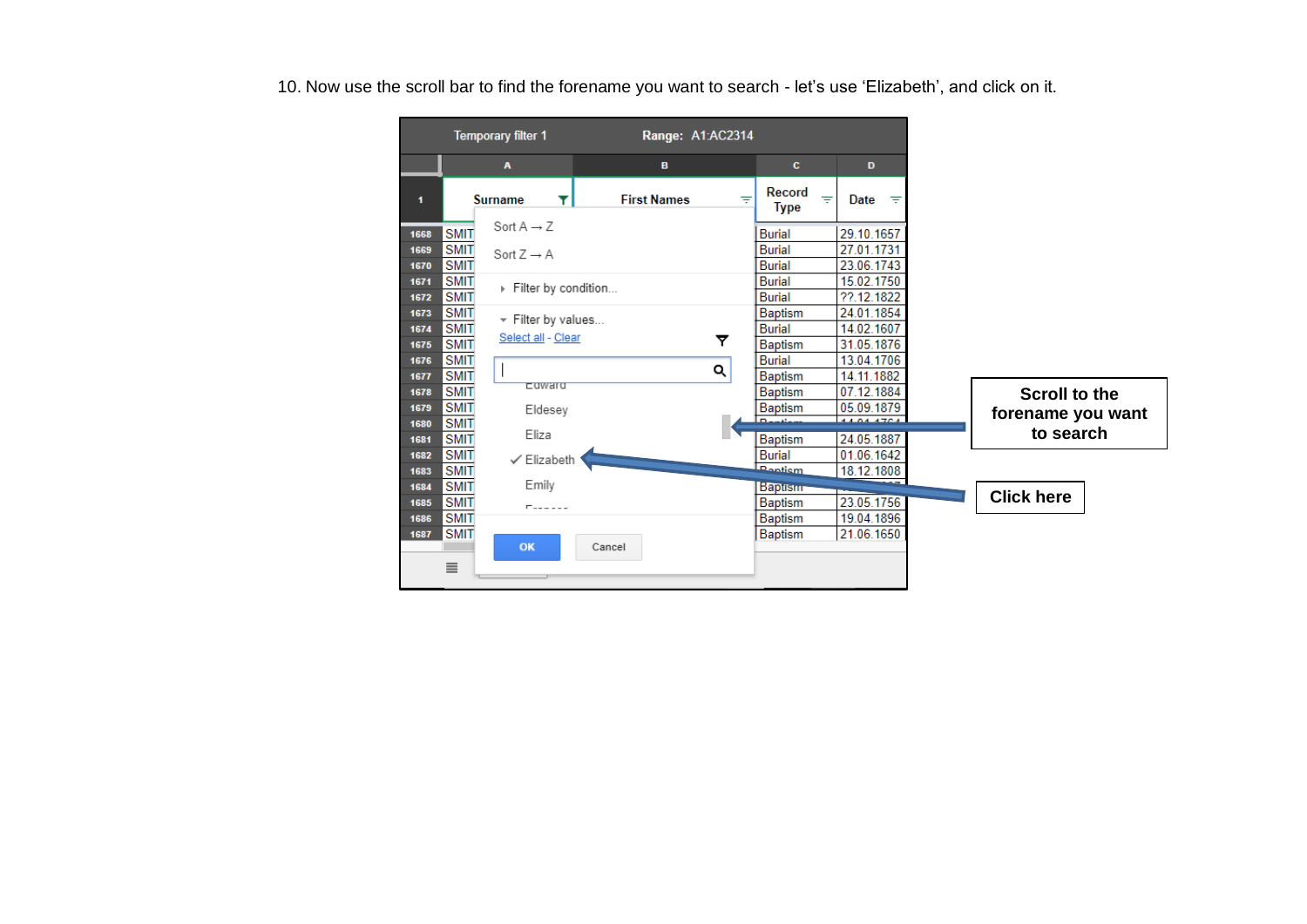10. Now use the scroll bar to find the forename you want to search - let's use 'Elizabeth', and click on it.

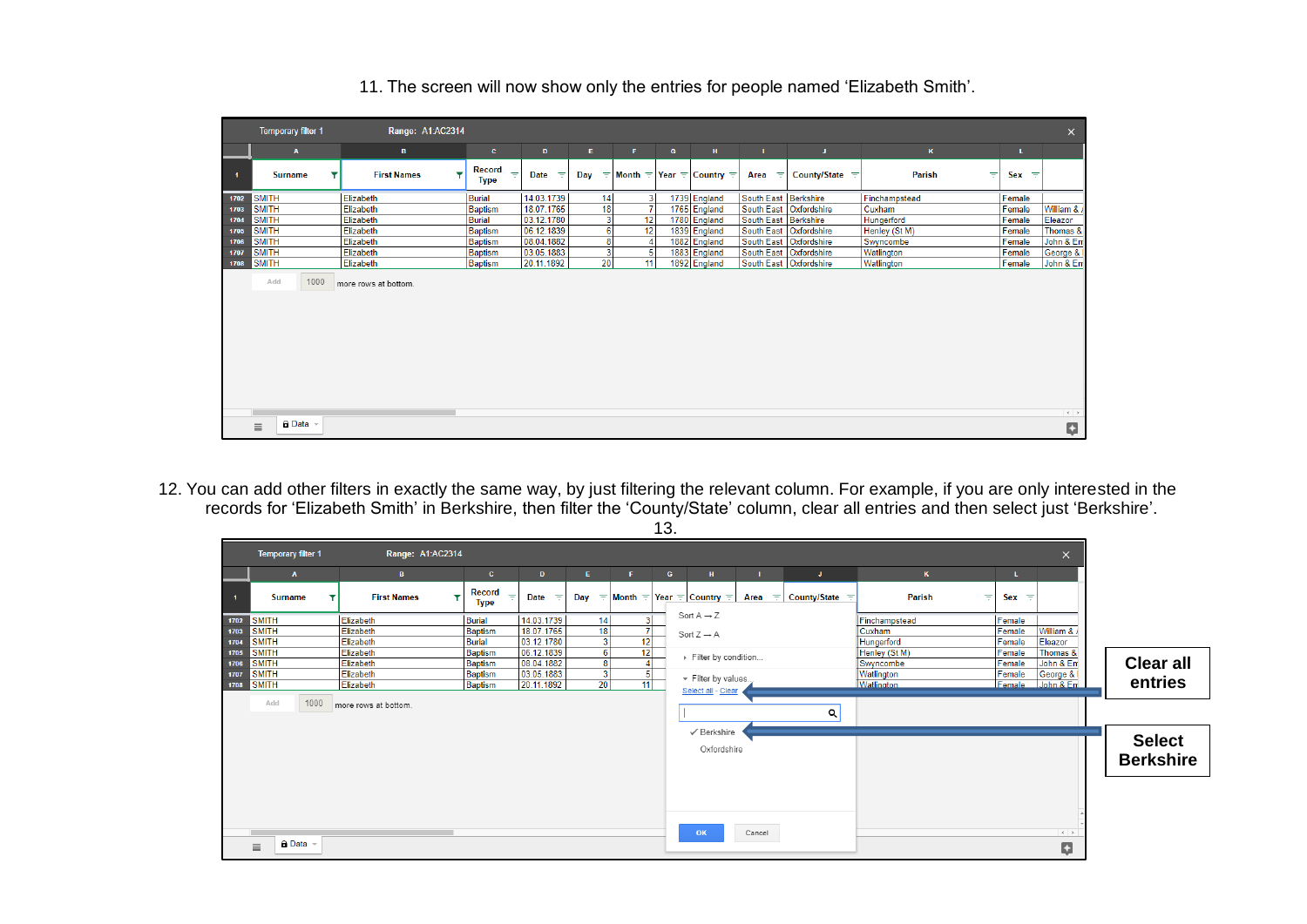|      | <b>Temporary filter 1</b>        | Range: A1:AC2314                   |                                   |                         |     |    |   |                                            |                      |                          |               |         | $\times$    |
|------|----------------------------------|------------------------------------|-----------------------------------|-------------------------|-----|----|---|--------------------------------------------|----------------------|--------------------------|---------------|---------|-------------|
|      | $\mathbf{A}$                     | в.                                 | $\mathbf{C}$                      | D                       | Е.  | F. | G | H                                          |                      | U.                       | $\kappa$      | L.      |             |
|      | <b>Surname</b>                   | $\mathbf{r}$<br><b>First Names</b> | <b>Record</b><br>=<br><b>Type</b> | <b>Date</b><br>$\equiv$ | Dav |    |   | $\pm$ Month $\pm$ Year $\pm$ Country $\pm$ | Area<br>$\equiv$     | County/State $\equiv$    | Parish<br>₹   | $Sex =$ |             |
| 1702 | <b>SMITH</b>                     | Elizabeth                          | <b>Burial</b>                     | 14.03.1739              | 14  | 3  |   | 1739 England                               | South East Berkshire |                          | Finchampstead | Female  |             |
| 1703 | <b>SMITH</b>                     | Elizabeth                          | <b>Baptism</b>                    | 18.07.1765              | 18  |    |   | 1765 England                               |                      | South East Oxfordshire   | Cuxham        | Female  | William & / |
| 1704 | <b>SMITH</b>                     | Elizabeth                          | <b>Burial</b>                     | 03.12.1780              | 3   | 12 |   | 1780 England                               | South East Berkshire |                          | Hungerford    | Female  | Eleazor     |
| 1705 | <b>SMITH</b>                     | Elizabeth                          | <b>Baptism</b>                    | 06.12.1839              | 6   | 12 |   | 1839 England                               |                      | South East   Oxfordshire | Henley (St M) | Female  | Thomas &    |
| 1706 | <b>SMITH</b>                     | Elizabeth                          | <b>Baptism</b>                    | 08.04.1882              | 8   |    |   | 1882 England                               |                      | South East   Oxfordshire | Swyncombe     | Female  | John & Em   |
| 1707 | <b>SMITH</b>                     | Elizabeth                          | Baptism                           | 03.05.1883              | 3   |    |   | 1883 England                               |                      | South East   Oxfordshire | Watlington    | Female  | George & I  |
| 1708 | <b>SMITH</b>                     | Elizabeth                          | <b>Baptism</b>                    | 20.11.1892              | 20  | 11 |   | 1892 England                               |                      | South East   Oxfordshire | Watlington    | Female  | John & Em   |
|      | Add<br>1000                      | more rows at bottom.               |                                   |                         |     |    |   |                                            |                      |                          |               |         |             |
|      | $\theta$ Data $\sim$<br>$\equiv$ |                                    |                                   |                         |     |    |   |                                            |                      |                          |               |         | Ņ           |

#### 11. The screen will now show only the entries for people named 'Elizabeth Smith'.

12. You can add other filters in exactly the same way, by just filtering the relevant column. For example, if you are only interested in the records for 'Elizabeth Smith' in Berkshire, then filter the 'County/State' column, clear all entries and then select just 'Berkshire'.

|                      | Temporary filter 1                           | Range: A1:AC2314                    |                                        |                                        |    |                                              |              |                                                  |        |                           |                                       |                            | $\times$                             |                                   |
|----------------------|----------------------------------------------|-------------------------------------|----------------------------------------|----------------------------------------|----|----------------------------------------------|--------------|--------------------------------------------------|--------|---------------------------|---------------------------------------|----------------------------|--------------------------------------|-----------------------------------|
|                      | $\mathbf{A}$                                 | <b>B</b>                            | $\mathbf{c}$                           | $\mathbf{D}$                           | E. | <b>F</b>                                     | $\mathbf{G}$ | H                                                |        | U.                        | $\kappa$                              | τ.                         |                                      |                                   |
|                      | <b>Surname</b><br>▼                          | <b>First Names</b>                  | <b>Record</b><br>Y<br>÷<br><b>Type</b> | <b>Date</b><br>$\equiv$                |    |                                              |              | Day = Month = Year = Country =                   |        | Area $=$ County/State $=$ | Parish<br>╤                           | $Sex =$                    |                                      |                                   |
| 1702<br>1703         | <b>SMITH</b><br><b>SMITH</b>                 | Elizabeth<br>Elizabeth              | <b>Burial</b><br><b>Baptism</b>        | 14.03.1739<br>18.07.1765               |    | 3 <sup>1</sup><br>14<br>$\overline{7}$<br>18 |              | Sort $A \rightarrow Z$<br>Sort $Z \rightarrow A$ |        |                           | Finchampstead<br>Cuxham               | Female<br>Female           | William & /                          |                                   |
| 1704<br>1705         | <b>SMITH</b><br><b>SMITH</b>                 | Elizabeth<br>Elizabeth              | <b>Burial</b><br>Baptism               | 03.12.1780<br>06.12.1839               |    | 12<br>3<br>12                                |              | Filter by condition                              |        |                           | Hungerford<br>Henley (St M)           | Female<br>Female           | Eleazor<br>Thomas &                  |                                   |
| 1706<br>1707<br>1708 | <b>SMITH</b><br><b>SMITH</b><br><b>SMITH</b> | Elizabeth<br>Elizabeth<br>Elizabeth | <b>Baptism</b><br>Baptism<br>Baptism   | 08.04.1882<br>03.05.1883<br>20.11.1892 |    | 4 <sup>1</sup><br>8<br>$\frac{5}{11}$<br>20  |              | - Filter by values                               |        |                           | Swyncombe<br>Watlington<br>Watlington | Female<br>Female<br>Female | John & Em<br>George & I<br>John & En | <b>Clear all</b><br>entries       |
|                      | 1000<br>Add                                  | more rows at bottom.                |                                        |                                        |    |                                              |              | Select all - Clear                               |        | $\alpha$                  |                                       |                            |                                      |                                   |
|                      |                                              |                                     |                                        |                                        |    |                                              |              | ✔ Berkshire<br>Oxfordshire                       |        |                           |                                       |                            |                                      | <b>Select</b><br><b>Berkshire</b> |
|                      |                                              |                                     |                                        |                                        |    |                                              |              |                                                  |        |                           |                                       |                            |                                      |                                   |
|                      | <b>A</b> Data<br>$\equiv$                    |                                     |                                        |                                        |    |                                              |              | OK                                               | Cancel |                           |                                       |                            | $-4$<br>Ģ                            |                                   |

13.